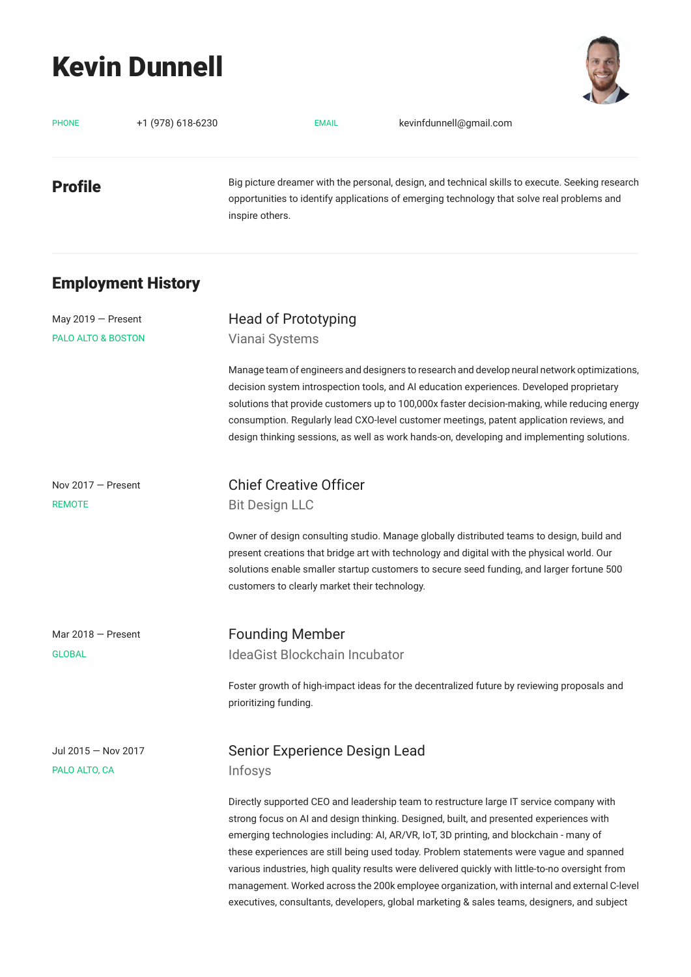# Kevin Dunnell



| <b>PHONE</b>                             | +1 (978) 618-6230         | kevinfdunnell@gmail.com<br><b>EMAIL</b>                                                                                                                                                                                                                                                                                                                                                                                                                                             |
|------------------------------------------|---------------------------|-------------------------------------------------------------------------------------------------------------------------------------------------------------------------------------------------------------------------------------------------------------------------------------------------------------------------------------------------------------------------------------------------------------------------------------------------------------------------------------|
| Profile                                  |                           | Big picture dreamer with the personal, design, and technical skills to execute. Seeking research<br>opportunities to identify applications of emerging technology that solve real problems and<br>inspire others.                                                                                                                                                                                                                                                                   |
|                                          | <b>Employment History</b> |                                                                                                                                                                                                                                                                                                                                                                                                                                                                                     |
| May 2019 - Present<br>PALO ALTO & BOSTON |                           | Head of Prototyping<br>Vianai Systems                                                                                                                                                                                                                                                                                                                                                                                                                                               |
|                                          |                           | Manage team of engineers and designers to research and develop neural network optimizations,<br>decision system introspection tools, and AI education experiences. Developed proprietary<br>solutions that provide customers up to 100,000x faster decision-making, while reducing energy<br>consumption. Regularly lead CXO-level customer meetings, patent application reviews, and<br>design thinking sessions, as well as work hands-on, developing and implementing solutions. |
| Nov 2017 – Present<br>REMOTE             |                           | <b>Chief Creative Officer</b><br><b>Bit Design LLC</b>                                                                                                                                                                                                                                                                                                                                                                                                                              |
|                                          |                           | Owner of design consulting studio. Manage globally distributed teams to design, build and<br>present creations that bridge art with technology and digital with the physical world. Our<br>solutions enable smaller startup customers to secure seed funding, and larger fortune 500<br>customers to clearly market their technology.                                                                                                                                               |
| Mar 2018 - Present<br><b>GLOBAL</b>      |                           | <b>Founding Member</b><br>IdeaGist Blockchain Incubator                                                                                                                                                                                                                                                                                                                                                                                                                             |
|                                          |                           | Foster growth of high-impact ideas for the decentralized future by reviewing proposals and<br>prioritizing funding.                                                                                                                                                                                                                                                                                                                                                                 |
| Jul 2015 - Nov 2017<br>PALO ALTO, CA     |                           | Senior Experience Design Lead<br>Infosys                                                                                                                                                                                                                                                                                                                                                                                                                                            |
|                                          |                           | Directly supported CEO and leadership team to restructure large IT service company with<br>strong focus on AI and design thinking. Designed, built, and presented experiences with<br>emerging technologies including: AI, AR/VR, IoT, 3D printing, and blockchain - many of<br>these experiences are still being used today. Problem statements were vague and spanned<br>various industries, high quality results were delivered quickly with little-to-no oversight from         |

management. Worked across the 200k employee organization, with internal and external C-level executives, consultants, developers, global marketing & sales teams, designers, and subject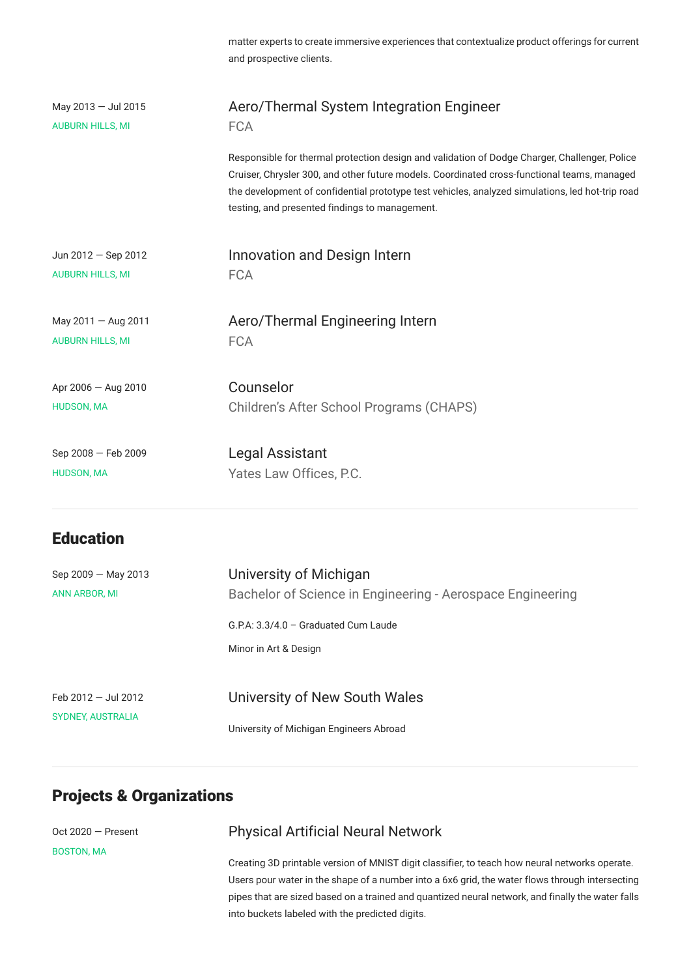matter experts to create immersive experiences that contextualize product offerings for current and prospective clients.

| May $2013 -$ Jul 2015   | Aero/Thermal System Integration Engineer                                                                                                                                                                                                                                                                                                           |
|-------------------------|----------------------------------------------------------------------------------------------------------------------------------------------------------------------------------------------------------------------------------------------------------------------------------------------------------------------------------------------------|
| <b>AUBURN HILLS, MI</b> | <b>FCA</b>                                                                                                                                                                                                                                                                                                                                         |
|                         | Responsible for thermal protection design and validation of Dodge Charger, Challenger, Police<br>Cruiser, Chrysler 300, and other future models. Coordinated cross-functional teams, managed<br>the development of confidential prototype test vehicles, analyzed simulations, led hot-trip road<br>testing, and presented findings to management. |
| Jun $2012 -$ Sep 2012   | Innovation and Design Intern                                                                                                                                                                                                                                                                                                                       |
| <b>AUBURN HILLS, MI</b> | <b>FCA</b>                                                                                                                                                                                                                                                                                                                                         |
| May 2011 - Aug 2011     | Aero/Thermal Engineering Intern                                                                                                                                                                                                                                                                                                                    |
| <b>AUBURN HILLS, MI</b> | <b>FCA</b>                                                                                                                                                                                                                                                                                                                                         |
| Apr $2006 -$ Aug 2010   | Counselor                                                                                                                                                                                                                                                                                                                                          |
| <b>HUDSON, MA</b>       | Children's After School Programs (CHAPS)                                                                                                                                                                                                                                                                                                           |
| Sep 2008 - Feb 2009     | Legal Assistant                                                                                                                                                                                                                                                                                                                                    |
| <b>HUDSON, MA</b>       | Yates Law Offices, P.C.                                                                                                                                                                                                                                                                                                                            |

## **Education**

| Sep $2009 -$ May 2013<br><b>ANN ARBOR, MI</b> | University of Michigan<br>Bachelor of Science in Engineering - Aerospace Engineering |
|-----------------------------------------------|--------------------------------------------------------------------------------------|
|                                               | G.P.A: 3.3/4.0 - Graduated Cum Laude                                                 |
|                                               | Minor in Art & Design                                                                |
|                                               |                                                                                      |
| Feb $2012 -$ Jul 2012                         | University of New South Wales                                                        |
| <b>SYDNEY, AUSTRALIA</b>                      | University of Michigan Engineers Abroad                                              |

# Projects & Organizations

Oct 2020 — Present BOSTON, MA

### Physical Artificial Neural Network

Creating 3D printable version of MNIST digit classifier, to teach how neural networks operate. Users pour water in the shape of a number into a 6x6 grid, the water flows through intersecting pipes that are sized based on a trained and quantized neural network, and finally the water falls into buckets labeled with the predicted digits.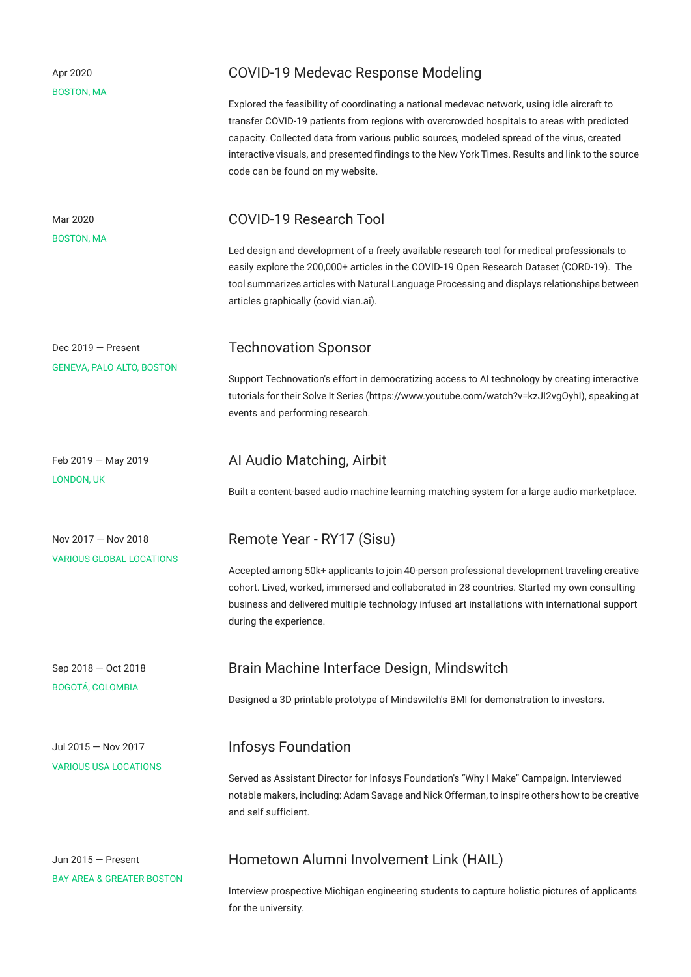| Apr 2020<br><b>BOSTON, MA</b>                                | COVID-19 Medevac Response Modeling<br>Explored the feasibility of coordinating a national medevac network, using idle aircraft to<br>transfer COVID-19 patients from regions with overcrowded hospitals to areas with predicted<br>capacity. Collected data from various public sources, modeled spread of the virus, created<br>interactive visuals, and presented findings to the New York Times. Results and link to the source<br>code can be found on my website. |
|--------------------------------------------------------------|------------------------------------------------------------------------------------------------------------------------------------------------------------------------------------------------------------------------------------------------------------------------------------------------------------------------------------------------------------------------------------------------------------------------------------------------------------------------|
| Mar 2020<br><b>BOSTON, MA</b>                                | <b>COVID-19 Research Tool</b><br>Led design and development of a freely available research tool for medical professionals to<br>easily explore the 200,000+ articles in the COVID-19 Open Research Dataset (CORD-19). The<br>tool summarizes articles with Natural Language Processing and displays relationships between<br>articles graphically (covid.vian.ai).                                                                                                     |
| Dec $2019$ – Present<br><b>GENEVA, PALO ALTO, BOSTON</b>     | <b>Technovation Sponsor</b><br>Support Technovation's effort in democratizing access to AI technology by creating interactive<br>tutorials for their Solve It Series (https://www.youtube.com/watch?v=kzJl2vgOyhl), speaking at<br>events and performing research.                                                                                                                                                                                                     |
| Feb $2019 - May 2019$<br><b>LONDON, UK</b>                   | Al Audio Matching, Airbit<br>Built a content-based audio machine learning matching system for a large audio marketplace.                                                                                                                                                                                                                                                                                                                                               |
| Nov $2017 -$ Nov 2018<br><b>VARIOUS GLOBAL LOCATIONS</b>     | Remote Year - RY17 (Sisu)<br>Accepted among 50k+ applicants to join 40-person professional development traveling creative<br>cohort. Lived, worked, immersed and collaborated in 28 countries. Started my own consulting<br>business and delivered multiple technology infused art installations with international support<br>during the experience.                                                                                                                  |
| Sep 2018 - Oct 2018<br><b>BOGOTÁ, COLOMBIA</b>               | Brain Machine Interface Design, Mindswitch<br>Designed a 3D printable prototype of Mindswitch's BMI for demonstration to investors.                                                                                                                                                                                                                                                                                                                                    |
| Jul 2015 - Nov 2017<br><b>VARIOUS USA LOCATIONS</b>          | <b>Infosys Foundation</b><br>Served as Assistant Director for Infosys Foundation's "Why I Make" Campaign. Interviewed<br>notable makers, including: Adam Savage and Nick Offerman, to inspire others how to be creative<br>and self sufficient.                                                                                                                                                                                                                        |
| Jun $2015 -$ Present<br><b>BAY AREA &amp; GREATER BOSTON</b> | Hometown Alumni Involvement Link (HAIL)<br>Interview prospective Michigan engineering students to capture holistic pictures of applicants<br>for the university.                                                                                                                                                                                                                                                                                                       |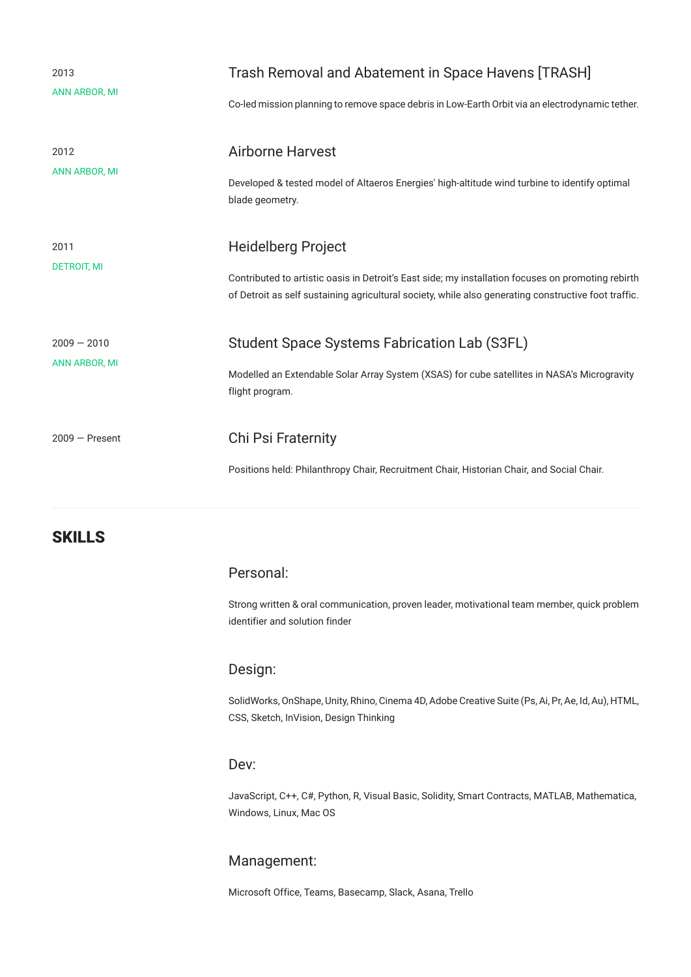| 2013<br><b>ANN ARBOR, MI</b>          | Trash Removal and Abatement in Space Havens [TRASH]<br>Co-led mission planning to remove space debris in Low-Earth Orbit via an electrodynamic tether.                                                                           |
|---------------------------------------|----------------------------------------------------------------------------------------------------------------------------------------------------------------------------------------------------------------------------------|
| 2012<br><b>ANN ARBOR, MI</b>          | <b>Airborne Harvest</b><br>Developed & tested model of Altaeros Energies' high-altitude wind turbine to identify optimal<br>blade geometry.                                                                                      |
| 2011<br><b>DETROIT, MI</b>            | Heidelberg Project<br>Contributed to artistic oasis in Detroit's East side; my installation focuses on promoting rebirth<br>of Detroit as self sustaining agricultural society, while also generating constructive foot traffic. |
| $2009 - 2010$<br><b>ANN ARBOR, MI</b> | Student Space Systems Fabrication Lab (S3FL)<br>Modelled an Extendable Solar Array System (XSAS) for cube satellites in NASA's Microgravity<br>flight program.                                                                   |
| $2009 -$ Present                      | Chi Psi Fraternity<br>Positions held: Philanthropy Chair, Recruitment Chair, Historian Chair, and Social Chair.                                                                                                                  |

#### **SKILLS**

#### Personal:

Strong written & oral communication, proven leader, motivational team member, quick problem identifier and solution finder

#### Design:

SolidWorks, OnShape, Unity, Rhino, Cinema 4D, Adobe Creative Suite (Ps, Ai, Pr, Ae, Id, Au), HTML, CSS, Sketch, InVision, Design Thinking

#### Dev:

JavaScript, C++, C#, Python, R, Visual Basic, Solidity, Smart Contracts, MATLAB, Mathematica, Windows, Linux, Mac OS

#### Management:

Microsoft Office, Teams, Basecamp, Slack, Asana, Trello